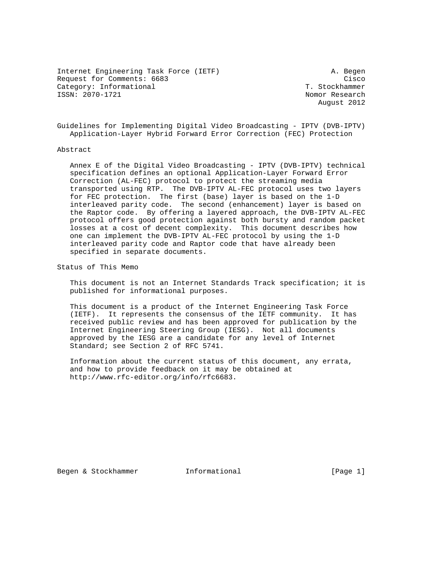Internet Engineering Task Force (IETF) A. Begen Request for Comments: 6683 Cisco Category: Informational T. Stockhammer ISSN: 2070-1721 Nomor Research

August 2012

Guidelines for Implementing Digital Video Broadcasting - IPTV (DVB-IPTV) Application-Layer Hybrid Forward Error Correction (FEC) Protection

### Abstract

 Annex E of the Digital Video Broadcasting - IPTV (DVB-IPTV) technical specification defines an optional Application-Layer Forward Error Correction (AL-FEC) protocol to protect the streaming media transported using RTP. The DVB-IPTV AL-FEC protocol uses two layers for FEC protection. The first (base) layer is based on the 1-D interleaved parity code. The second (enhancement) layer is based on the Raptor code. By offering a layered approach, the DVB-IPTV AL-FEC protocol offers good protection against both bursty and random packet losses at a cost of decent complexity. This document describes how one can implement the DVB-IPTV AL-FEC protocol by using the 1-D interleaved parity code and Raptor code that have already been specified in separate documents.

Status of This Memo

 This document is not an Internet Standards Track specification; it is published for informational purposes.

 This document is a product of the Internet Engineering Task Force (IETF). It represents the consensus of the IETF community. It has received public review and has been approved for publication by the Internet Engineering Steering Group (IESG). Not all documents approved by the IESG are a candidate for any level of Internet Standard; see Section 2 of RFC 5741.

 Information about the current status of this document, any errata, and how to provide feedback on it may be obtained at http://www.rfc-editor.org/info/rfc6683.

Begen & Stockhammer Thermational [Page 1]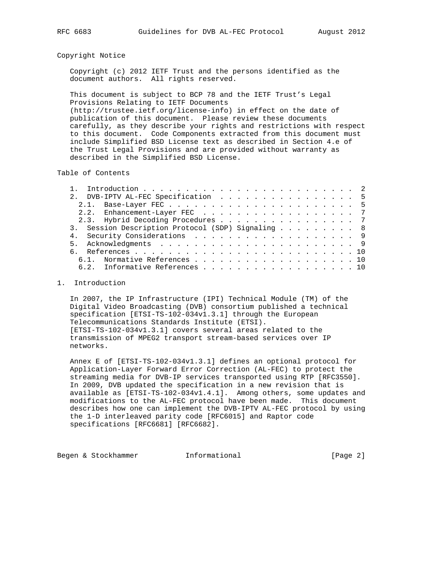### Copyright Notice

 Copyright (c) 2012 IETF Trust and the persons identified as the document authors. All rights reserved.

 This document is subject to BCP 78 and the IETF Trust's Legal Provisions Relating to IETF Documents (http://trustee.ietf.org/license-info) in effect on the date of publication of this document. Please review these documents carefully, as they describe your rights and restrictions with respect to this document. Code Components extracted from this document must include Simplified BSD License text as described in Section 4.e of the Trust Legal Provisions and are provided without warranty as described in the Simplified BSD License.

Table of Contents

|  | 2. DVB-IPTV AL-FEC Specification 5                |  |  |  |  |  |
|--|---------------------------------------------------|--|--|--|--|--|
|  |                                                   |  |  |  |  |  |
|  | 2.2. Enhancement-Layer FEC 7                      |  |  |  |  |  |
|  | 2.3. Hybrid Decoding Procedures 7                 |  |  |  |  |  |
|  | 3. Session Description Protocol (SDP) Signaling 8 |  |  |  |  |  |
|  | 4. Security Considerations 9                      |  |  |  |  |  |
|  |                                                   |  |  |  |  |  |
|  |                                                   |  |  |  |  |  |
|  | 6.1. Normative References 10                      |  |  |  |  |  |
|  | 6.2. Informative References 10                    |  |  |  |  |  |

#### 1. Introduction

 In 2007, the IP Infrastructure (IPI) Technical Module (TM) of the Digital Video Broadcasting (DVB) consortium published a technical specification [ETSI-TS-102-034v1.3.1] through the European Telecommunications Standards Institute (ETSI). [ETSI-TS-102-034v1.3.1] covers several areas related to the transmission of MPEG2 transport stream-based services over IP networks.

 Annex E of [ETSI-TS-102-034v1.3.1] defines an optional protocol for Application-Layer Forward Error Correction (AL-FEC) to protect the streaming media for DVB-IP services transported using RTP [RFC3550]. In 2009, DVB updated the specification in a new revision that is available as [ETSI-TS-102-034v1.4.1]. Among others, some updates and modifications to the AL-FEC protocol have been made. This document describes how one can implement the DVB-IPTV AL-FEC protocol by using the 1-D interleaved parity code [RFC6015] and Raptor code specifications [RFC6681] [RFC6682].

Begen & Stockhammer Thermational Theorem [Page 2]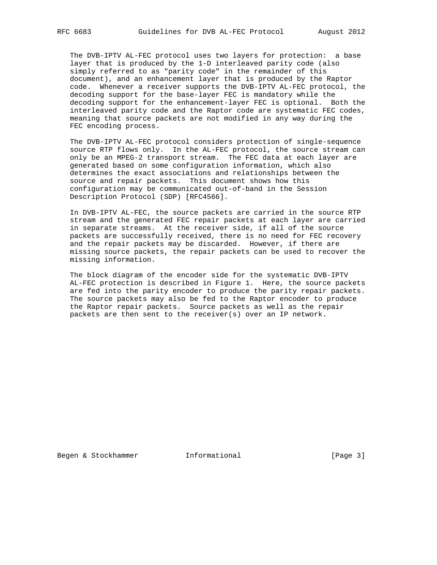The DVB-IPTV AL-FEC protocol uses two layers for protection: a base layer that is produced by the 1-D interleaved parity code (also simply referred to as "parity code" in the remainder of this document), and an enhancement layer that is produced by the Raptor code. Whenever a receiver supports the DVB-IPTV AL-FEC protocol, the decoding support for the base-layer FEC is mandatory while the decoding support for the enhancement-layer FEC is optional. Both the interleaved parity code and the Raptor code are systematic FEC codes, meaning that source packets are not modified in any way during the FEC encoding process.

 The DVB-IPTV AL-FEC protocol considers protection of single-sequence source RTP flows only. In the AL-FEC protocol, the source stream can only be an MPEG-2 transport stream. The FEC data at each layer are generated based on some configuration information, which also determines the exact associations and relationships between the source and repair packets. This document shows how this configuration may be communicated out-of-band in the Session Description Protocol (SDP) [RFC4566].

 In DVB-IPTV AL-FEC, the source packets are carried in the source RTP stream and the generated FEC repair packets at each layer are carried in separate streams. At the receiver side, if all of the source packets are successfully received, there is no need for FEC recovery and the repair packets may be discarded. However, if there are missing source packets, the repair packets can be used to recover the missing information.

 The block diagram of the encoder side for the systematic DVB-IPTV AL-FEC protection is described in Figure 1. Here, the source packets are fed into the parity encoder to produce the parity repair packets. The source packets may also be fed to the Raptor encoder to produce the Raptor repair packets. Source packets as well as the repair packets are then sent to the receiver(s) over an IP network.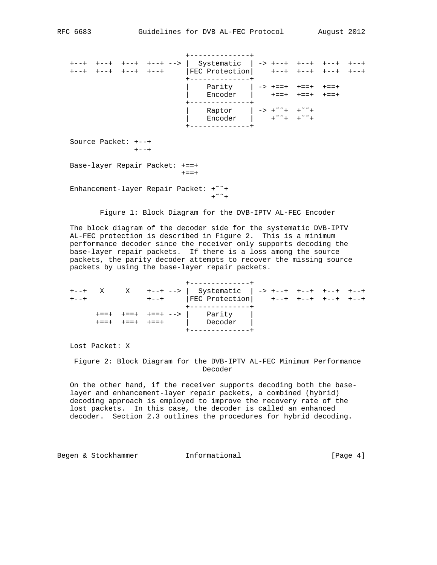+--------------+ +--+ +--+ +--+ +--+ --> | Systematic | -> +--+ +--+ +--+ +--+ +--+ +--+ +--+ +--+ |FEC Protection| +--+ +--+ +--+ +--+ +--------------+ | Parity | -> +==+ +==+ +==+ | Encoder | +==+ +==+ +==+ +--------------+ | Raptor | -> +˜˜+ +˜˜+ | Encoder | +˜˜+ +˜˜+ +--------------+ Source Packet: +--+  $+--+$ 

 Base-layer Repair Packet: +==+ +==+

 Enhancement-layer Repair Packet: +˜˜+  $+^{\sim}$  +

Figure 1: Block Diagram for the DVB-IPTV AL-FEC Encoder

 The block diagram of the decoder side for the systematic DVB-IPTV AL-FEC protection is described in Figure 2. This is a minimum performance decoder since the receiver only supports decoding the base-layer repair packets. If there is a loss among the source packets, the parity decoder attempts to recover the missing source packets by using the base-layer repair packets.

|           |  |  |  | --------------                                     |  |  |  |  |  |  |  |
|-----------|--|--|--|----------------------------------------------------|--|--|--|--|--|--|--|
| $+ - - +$ |  |  |  | X X +--+ -->   Systematic   -> +--+ +--+ +--+ +--+ |  |  |  |  |  |  |  |
| $+ - - +$ |  |  |  |                                                    |  |  |  |  |  |  |  |
|           |  |  |  | +--------------+                                   |  |  |  |  |  |  |  |
|           |  |  |  | $+==+$ $+==+$ $+==+$ $-->$   Parity                |  |  |  |  |  |  |  |
|           |  |  |  | $+==+$ $+==+$ $+=-+$ $\qquad$ Decoder              |  |  |  |  |  |  |  |
|           |  |  |  |                                                    |  |  |  |  |  |  |  |

Lost Packet: X

 Figure 2: Block Diagram for the DVB-IPTV AL-FEC Minimum Performance Decoder

 On the other hand, if the receiver supports decoding both the base layer and enhancement-layer repair packets, a combined (hybrid) decoding approach is employed to improve the recovery rate of the lost packets. In this case, the decoder is called an enhanced decoder. Section 2.3 outlines the procedures for hybrid decoding.

Begen & Stockhammer Thermational and Informational [Page 4]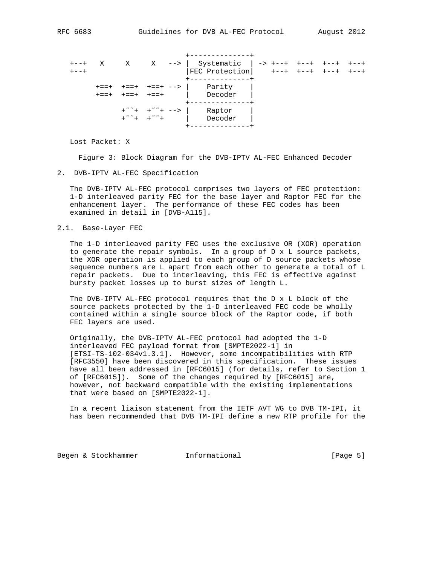|  |                |  | ----------<br>$X$ X $X$ ->   Systematic   -> +--+ +--+<br>$ FEC$ Protection $ $ +--+ +--+ +--+ +--+ |  |  |  |
|--|----------------|--|-----------------------------------------------------------------------------------------------------|--|--|--|
|  | キ==+ キ==+ キ==+ |  | . _ _ _ _ _ _ _ _ _ _ _<br>$+==+$ $+==+$ $+==+$ $-->$   Parity<br>  Decoder                         |  |  |  |
|  |                |  | Raptor                                                                                              |  |  |  |

Lost Packet: X

Figure 3: Block Diagram for the DVB-IPTV AL-FEC Enhanced Decoder

2. DVB-IPTV AL-FEC Specification

 The DVB-IPTV AL-FEC protocol comprises two layers of FEC protection: 1-D interleaved parity FEC for the base layer and Raptor FEC for the enhancement layer. The performance of these FEC codes has been examined in detail in [DVB-A115].

2.1. Base-Layer FEC

 The 1-D interleaved parity FEC uses the exclusive OR (XOR) operation to generate the repair symbols. In a group of D x L source packets, the XOR operation is applied to each group of D source packets whose sequence numbers are L apart from each other to generate a total of L repair packets. Due to interleaving, this FEC is effective against bursty packet losses up to burst sizes of length L.

 The DVB-IPTV AL-FEC protocol requires that the D x L block of the source packets protected by the 1-D interleaved FEC code be wholly contained within a single source block of the Raptor code, if both FEC layers are used.

 Originally, the DVB-IPTV AL-FEC protocol had adopted the 1-D interleaved FEC payload format from [SMPTE2022-1] in [ETSI-TS-102-034v1.3.1]. However, some incompatibilities with RTP [RFC3550] have been discovered in this specification. These issues have all been addressed in [RFC6015] (for details, refer to Section 1 of [RFC6015]). Some of the changes required by [RFC6015] are, however, not backward compatible with the existing implementations that were based on [SMPTE2022-1].

 In a recent liaison statement from the IETF AVT WG to DVB TM-IPI, it has been recommended that DVB TM-IPI define a new RTP profile for the

Begen & Stockhammer Thermational Theorem [Page 5]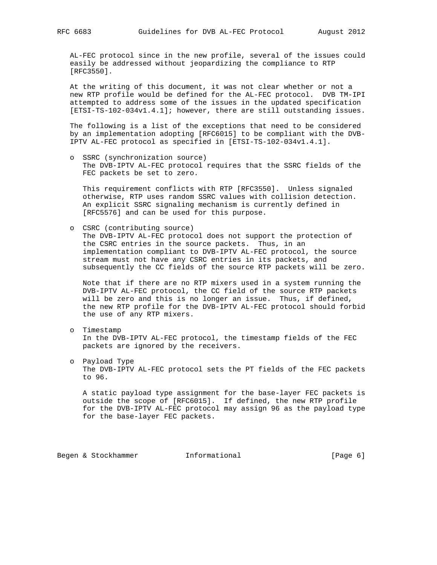AL-FEC protocol since in the new profile, several of the issues could easily be addressed without jeopardizing the compliance to RTP [RFC3550].

 At the writing of this document, it was not clear whether or not a new RTP profile would be defined for the AL-FEC protocol. DVB TM-IPI attempted to address some of the issues in the updated specification [ETSI-TS-102-034v1.4.1]; however, there are still outstanding issues.

 The following is a list of the exceptions that need to be considered by an implementation adopting [RFC6015] to be compliant with the DVB- IPTV AL-FEC protocol as specified in [ETSI-TS-102-034v1.4.1].

 o SSRC (synchronization source) The DVB-IPTV AL-FEC protocol requires that the SSRC fields of the FEC packets be set to zero.

 This requirement conflicts with RTP [RFC3550]. Unless signaled otherwise, RTP uses random SSRC values with collision detection. An explicit SSRC signaling mechanism is currently defined in [RFC5576] and can be used for this purpose.

o CSRC (contributing source)

 The DVB-IPTV AL-FEC protocol does not support the protection of the CSRC entries in the source packets. Thus, in an implementation compliant to DVB-IPTV AL-FEC protocol, the source stream must not have any CSRC entries in its packets, and subsequently the CC fields of the source RTP packets will be zero.

 Note that if there are no RTP mixers used in a system running the DVB-IPTV AL-FEC protocol, the CC field of the source RTP packets will be zero and this is no longer an issue. Thus, if defined, the new RTP profile for the DVB-IPTV AL-FEC protocol should forbid the use of any RTP mixers.

- o Timestamp In the DVB-IPTV AL-FEC protocol, the timestamp fields of the FEC packets are ignored by the receivers.
- o Payload Type The DVB-IPTV AL-FEC protocol sets the PT fields of the FEC packets to 96.

 A static payload type assignment for the base-layer FEC packets is outside the scope of [RFC6015]. If defined, the new RTP profile for the DVB-IPTV AL-FEC protocol may assign 96 as the payload type for the base-layer FEC packets.

Begen & Stockhammer **Informational** [Page 6]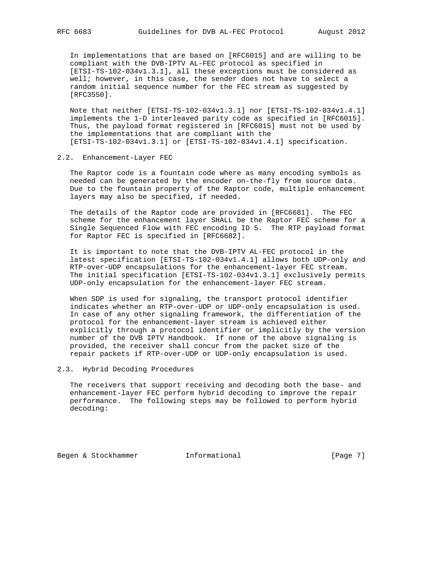In implementations that are based on [RFC6015] and are willing to be compliant with the DVB-IPTV AL-FEC protocol as specified in [ETSI-TS-102-034v1.3.1], all these exceptions must be considered as well; however, in this case, the sender does not have to select a random initial sequence number for the FEC stream as suggested by [RFC3550].

 Note that neither [ETSI-TS-102-034v1.3.1] nor [ETSI-TS-102-034v1.4.1] implements the 1-D interleaved parity code as specified in [RFC6015]. Thus, the payload format registered in [RFC6015] must not be used by the implementations that are compliant with the [ETSI-TS-102-034v1.3.1] or [ETSI-TS-102-034v1.4.1] specification.

### 2.2. Enhancement-Layer FEC

 The Raptor code is a fountain code where as many encoding symbols as needed can be generated by the encoder on-the-fly from source data. Due to the fountain property of the Raptor code, multiple enhancement layers may also be specified, if needed.

 The details of the Raptor code are provided in [RFC6681]. The FEC scheme for the enhancement layer SHALL be the Raptor FEC scheme for a Single Sequenced Flow with FEC encoding ID 5. The RTP payload format for Raptor FEC is specified in [RFC6682].

 It is important to note that the DVB-IPTV AL-FEC protocol in the latest specification [ETSI-TS-102-034v1.4.1] allows both UDP-only and RTP-over-UDP encapsulations for the enhancement-layer FEC stream. The initial specification [ETSI-TS-102-034v1.3.1] exclusively permits UDP-only encapsulation for the enhancement-layer FEC stream.

 When SDP is used for signaling, the transport protocol identifier indicates whether an RTP-over-UDP or UDP-only encapsulation is used. In case of any other signaling framework, the differentiation of the protocol for the enhancement-layer stream is achieved either explicitly through a protocol identifier or implicitly by the version number of the DVB IPTV Handbook. If none of the above signaling is provided, the receiver shall concur from the packet size of the repair packets if RTP-over-UDP or UDP-only encapsulation is used.

### 2.3. Hybrid Decoding Procedures

 The receivers that support receiving and decoding both the base- and enhancement-layer FEC perform hybrid decoding to improve the repair performance. The following steps may be followed to perform hybrid decoding:

Begen & Stockhammer **Informational** [Page 7]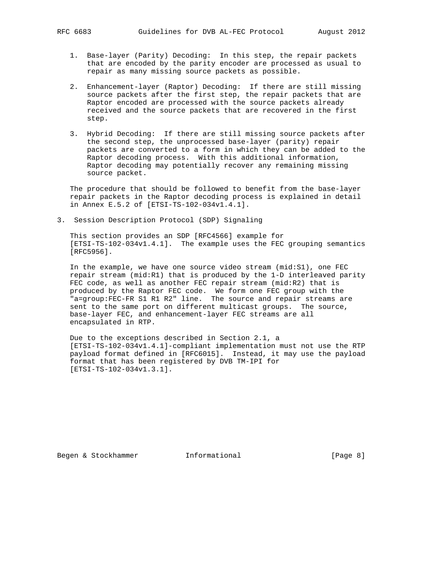- 1. Base-layer (Parity) Decoding: In this step, the repair packets that are encoded by the parity encoder are processed as usual to repair as many missing source packets as possible.
- 2. Enhancement-layer (Raptor) Decoding: If there are still missing source packets after the first step, the repair packets that are Raptor encoded are processed with the source packets already received and the source packets that are recovered in the first step.
- 3. Hybrid Decoding: If there are still missing source packets after the second step, the unprocessed base-layer (parity) repair packets are converted to a form in which they can be added to the Raptor decoding process. With this additional information, Raptor decoding may potentially recover any remaining missing source packet.

 The procedure that should be followed to benefit from the base-layer repair packets in the Raptor decoding process is explained in detail in Annex E.5.2 of [ETSI-TS-102-034v1.4.1].

3. Session Description Protocol (SDP) Signaling

 This section provides an SDP [RFC4566] example for [ETSI-TS-102-034v1.4.1]. The example uses the FEC grouping semantics [RFC5956].

 In the example, we have one source video stream (mid:S1), one FEC repair stream (mid:R1) that is produced by the 1-D interleaved parity FEC code, as well as another FEC repair stream (mid:R2) that is produced by the Raptor FEC code. We form one FEC group with the "a=group:FEC-FR S1 R1 R2" line. The source and repair streams are sent to the same port on different multicast groups. The source, base-layer FEC, and enhancement-layer FEC streams are all encapsulated in RTP.

 Due to the exceptions described in Section 2.1, a [ETSI-TS-102-034v1.4.1]-compliant implementation must not use the RTP payload format defined in [RFC6015]. Instead, it may use the payload format that has been registered by DVB TM-IPI for [ETSI-TS-102-034v1.3.1].

Begen & Stockhammer **Informational** [Page 8]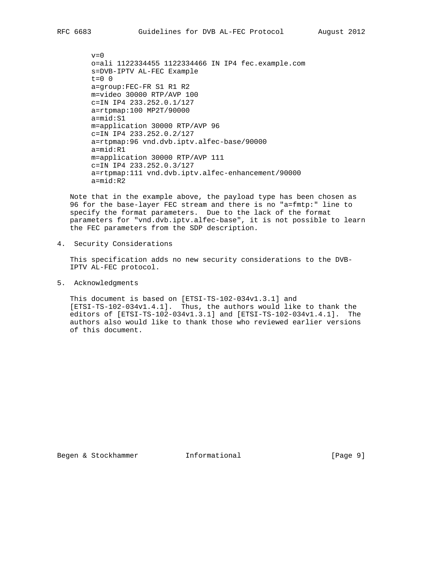$v=0$  o=ali 1122334455 1122334466 IN IP4 fec.example.com s=DVB-IPTV AL-FEC Example  $t=0$  0 a=group:FEC-FR S1 R1 R2 m=video 30000 RTP/AVP 100 c=IN IP4 233.252.0.1/127 a=rtpmap:100 MP2T/90000 a=mid:S1 m=application 30000 RTP/AVP 96 c=IN IP4 233.252.0.2/127 a=rtpmap:96 vnd.dvb.iptv.alfec-base/90000 a=mid:R1 m=application 30000 RTP/AVP 111 c=IN IP4 233.252.0.3/127 a=rtpmap:111 vnd.dvb.iptv.alfec-enhancement/90000 a=mid:R2

 Note that in the example above, the payload type has been chosen as 96 for the base-layer FEC stream and there is no "a=fmtp:" line to specify the format parameters. Due to the lack of the format parameters for "vnd.dvb.iptv.alfec-base", it is not possible to learn the FEC parameters from the SDP description.

4. Security Considerations

 This specification adds no new security considerations to the DVB- IPTV AL-FEC protocol.

5. Acknowledgments

 This document is based on [ETSI-TS-102-034v1.3.1] and [ETSI-TS-102-034v1.4.1]. Thus, the authors would like to thank the editors of [ETSI-TS-102-034v1.3.1] and [ETSI-TS-102-034v1.4.1]. The authors also would like to thank those who reviewed earlier versions of this document.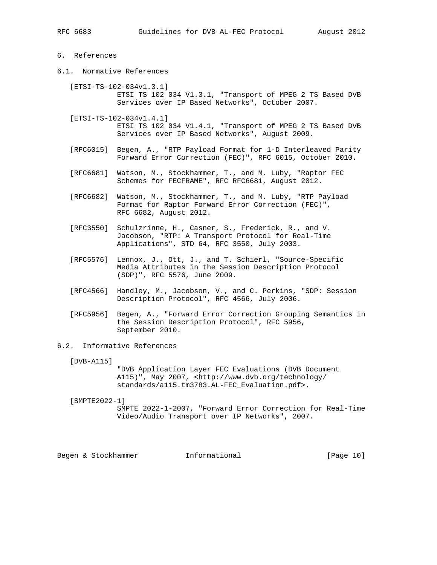# 6. References

6.1. Normative References

 [ETSI-TS-102-034v1.3.1] ETSI TS 102 034 V1.3.1, "Transport of MPEG 2 TS Based DVB Services over IP Based Networks", October 2007.

- [ETSI-TS-102-034v1.4.1] ETSI TS 102 034 V1.4.1, "Transport of MPEG 2 TS Based DVB Services over IP Based Networks", August 2009.
- [RFC6015] Begen, A., "RTP Payload Format for 1-D Interleaved Parity Forward Error Correction (FEC)", RFC 6015, October 2010.
- [RFC6681] Watson, M., Stockhammer, T., and M. Luby, "Raptor FEC Schemes for FECFRAME", RFC RFC6681, August 2012.
- [RFC6682] Watson, M., Stockhammer, T., and M. Luby, "RTP Payload Format for Raptor Forward Error Correction (FEC)", RFC 6682, August 2012.
- [RFC3550] Schulzrinne, H., Casner, S., Frederick, R., and V. Jacobson, "RTP: A Transport Protocol for Real-Time Applications", STD 64, RFC 3550, July 2003.
- [RFC5576] Lennox, J., Ott, J., and T. Schierl, "Source-Specific Media Attributes in the Session Description Protocol (SDP)", RFC 5576, June 2009.
- [RFC4566] Handley, M., Jacobson, V., and C. Perkins, "SDP: Session Description Protocol", RFC 4566, July 2006.
- [RFC5956] Begen, A., "Forward Error Correction Grouping Semantics in the Session Description Protocol", RFC 5956, September 2010.

# 6.2. Informative References

[DVB-A115]

 "DVB Application Layer FEC Evaluations (DVB Document A115)", May 2007, <http://www.dvb.org/technology/ standards/a115.tm3783.AL-FEC\_Evaluation.pdf>.

[SMPTE2022-1]

 SMPTE 2022-1-2007, "Forward Error Correction for Real-Time Video/Audio Transport over IP Networks", 2007.

Begen & Stockhammer **Informational** [Page 10]